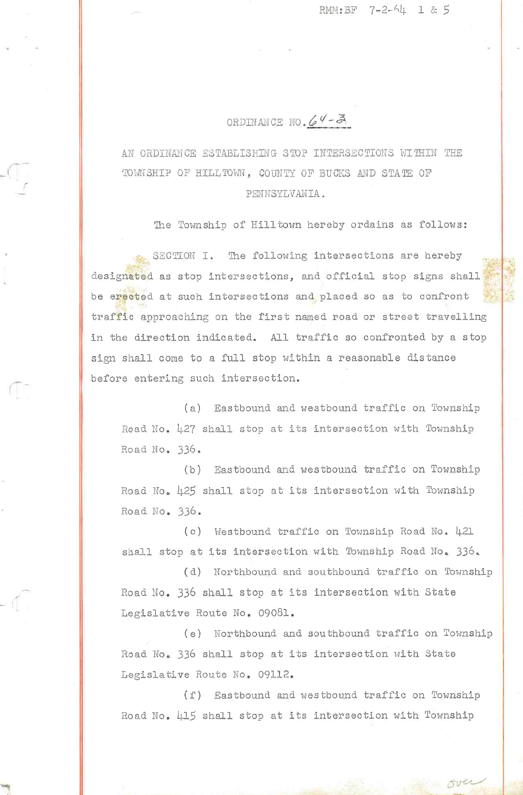RMM: BF 7-2-64 1 & 5

## ORDINANCE NO.  $64 - 3$

AN ORDINANCE ESTABLISHING STOP INTERSECTIONS WITHIN THE TOWNSHIP OF HILLTOWN, COUNTY OF BUCKS AND STATE OF PENNSYLVANIA.

The Township of Hilltown hereby ordains as follows:

SECTION I. The following intersections are hereby designated as stop intersections, and official stop signs shall be erected at such intersections and placed so as to confront traffic approaching on the first named road or street travelling in the direction indicated. All traffic so confronted by a stop sign shall come to a full stop within a reasonable distance before entering such intersection.

(a) Eastbound and westbound traffic on Township Road No. 427 shall stop at its intersection with Township Road No. 336.

(b) Eastbound and westbound traffic on Township Road No. 425 shall stop at its intersection with Township Road No. 336.

(c) Westbound traffic on Township Road No. 421 shall stop at its intersection with Township Road No. 336.

(d) Northbound and southbound traffic on Township Road No. 336 shall stop at its intersection with State Legislative Route No. 09081.

(e) Northbound and southbound traffic on Township Road No. 336 shall stop at its intersection with State Legislative Route No. 09112.

(f) Eastbound and westbound traffic on Township Road No. 415 shall stop at its intersection with Township

over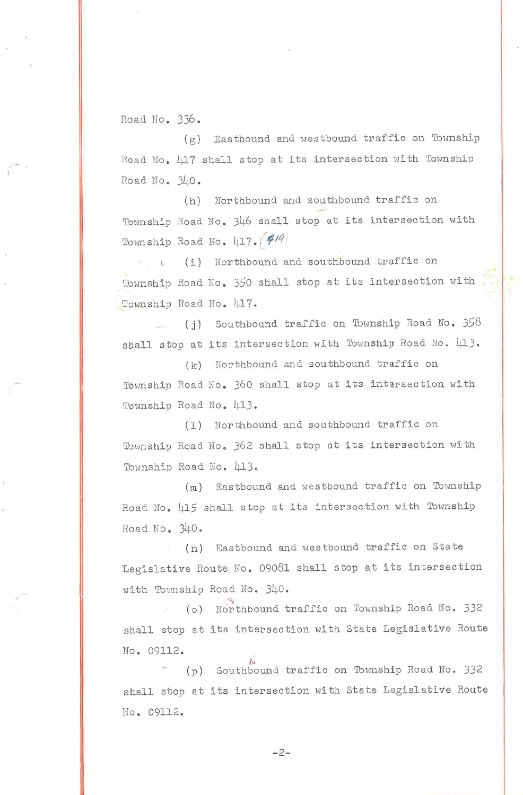Road No. 336.

 $(g)$  Eastbound and westbound traffic on Township Road No. 417 shall stop at its intersection with Township  $RoadNo.340.$ 

(h) Northbound and southbound traffic on Township Road No. 346 shall stop at its intersection with Township Road No. 417.  $(4/9)$ 

L- (i) Northbound and southbound traffic on Township Road No. 350 shall stop at its intersection with Township Road No. 417.

(j) Southbound traffic on Township Road No.  $358$ shall stop at its intersection with Township Road No.  $\mu$ 13.

(k) Northbound and southbound traffic on Township Road No. 360 shall stop at its intersection with Township Road No. 413.

(1) Northbound and southbound traffic on Township Road No. 362 shall stop at its intersection with Township Road No. 413.

 $(m)$  Eastbound and westbound traffic on Township Road No. 415 shall stop at its intersection with Township Road No. 340.

(n) Eastbound and westbound traffic on State Legislative Route No. 09081 shall stop at its intersection with Township Road No. 340.

(o) Northbound traffic on Township Road No. 332 shall stop at its intersection with State Legislative Route No. 09112.

(p) Southbound traffic on Township Road No. 332 shall stop at its intersection with State Legislative Route No. 09112,

-2-